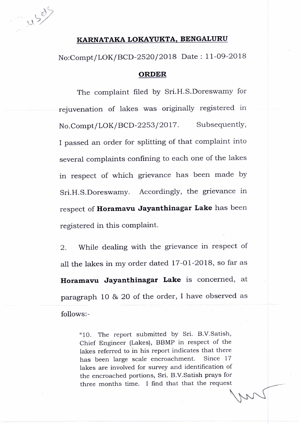11507

## **KARNATAKA LOKAYUKTA, BENGALURU**

No:Compt/LOK/BCD-2520/2018 Date : 11-09-2018

## **ORDER**

The complaint filed by Sri.H.S.Doreswamy for rejuvenation of lakes was originally registered in No.Compt/LOK/BCD-2253/2017. Subsequently, I passed an order for splitting of that complaint into several complaints confining to each one of the lakes in respect of which grievance has been made by Sri.H.S.Doreswamy. Accordingly, the grievance in respect of **Horamavu Jayanthinagar Lake** has been registered in this complaint.

2. While dealing with the grievance in respect of all the lakes in my order dated 17-01-2018, so far as **Horamavu Jayanthinagar Lake** is concerned, at paragraph 10 & 20 of the order, I have observed as follows:-

> "10. The report submitted by Sri. B.V.Satish, Chief Engineer (Lakes), BBMP in respect of the lakes referred to in his report indicates that there has been large scale encroachment. Since 17 lakes are involved for survey and identification of the encroached portions, Sri. B.V.Satish prays for three months time. I find that that the request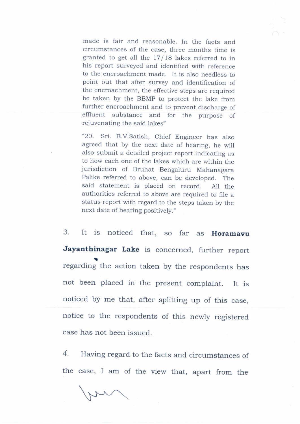made is fair and reasonable. In the facts and circumstances of the case, three months time is granted to get all the 17/18 lakes referred to in his report surveyed and identified with reference to the encroachment made. It is also needless to point out that after survey and identification of the encroachment, the effective steps are required be taken by the BBMP to protect the lake from further encroachment and to prevent discharge of effluent substance and for the purpose of rejuvenating the said lakes"

"20. Sri. B.V.Satish, Chief Engineer has also agreed that by the next date of hearing, he will also submit a detailed project report indicating as to how each one of the lakes which are within the jurisdiction of Bruhat Bengaluru Mahanagara Palike referred to above, can be developed. The said statement is placed on record. All the authorities referred to above are required to file a status report with regard to the steps taken by the next date of hearing positively."

3. It is noticed that, so far as **Horamavu Jayanthinagar Lake** is concerned, further report • regarding the action taken by the respondents has not been placed in the present complaint. It is noticed by me that, after splitting up of this case, notice to the respondents of this newly registered case has not been issued.

4. Having regard to the facts and circumstances of the case, I am of the view that, apart from the